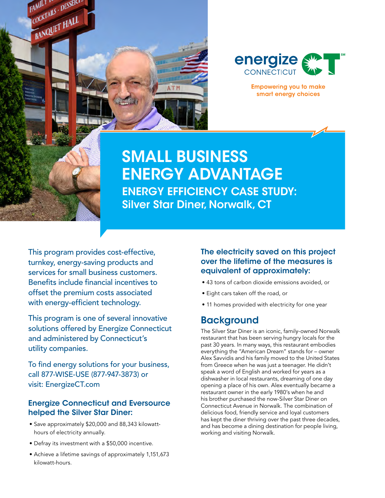



**Empowering you to make** smart energy choices

# SMALL BUSINESS ENERGY ADVANTAGE ENERGY EFFICIENCY CASE STUDY: Silver Star Diner, Norwalk, CT

This program provides cost-effective, turnkey, energy-saving products and services for small business customers. Benefits include financial incentives to offset the premium costs associated with energy-efficient technology.

This program is one of several innovative solutions offered by Energize Connecticut and administered by Connecticut's utility companies.

To find energy solutions for your business, call 877-WISE-USE (877-947-3873) or visit: EnergizeCT.com

#### Energize Connecticut and Eversource helped the Silver Star Diner:

- Save approximately \$20,000 and 88,343 kilowatthours of electricity annually.
- Defray its investment with a \$50,000 incentive.
- Achieve a lifetime savings of approximately 1,151,673 kilowatt-hours.

The electricity saved on this project over the lifetime of the measures is equivalent of approximately:

- 43 tons of carbon dioxide emissions avoided, or
- Eight cars taken off the road, or
- 11 homes provided with electricity for one year

#### **Background**

The Silver Star Diner is an iconic, family-owned Norwalk restaurant that has been serving hungry locals for the past 30 years. In many ways, this restaurant embodies everything the "American Dream" stands for – owner Alex Savvidis and his family moved to the United States from Greece when he was just a teenager. He didn't speak a word of English and worked for years as a dishwasher in local restaurants, dreaming of one day opening a place of his own. Alex eventually became a restaurant owner in the early 1980's when he and his brother purchased the now-Silver Star Diner on Connecticut Avenue in Norwalk. The combination of delicious food, friendly service and loyal customers has kept the diner thriving over the past three decades, and has become a dining destination for people living, working and visiting Norwalk.